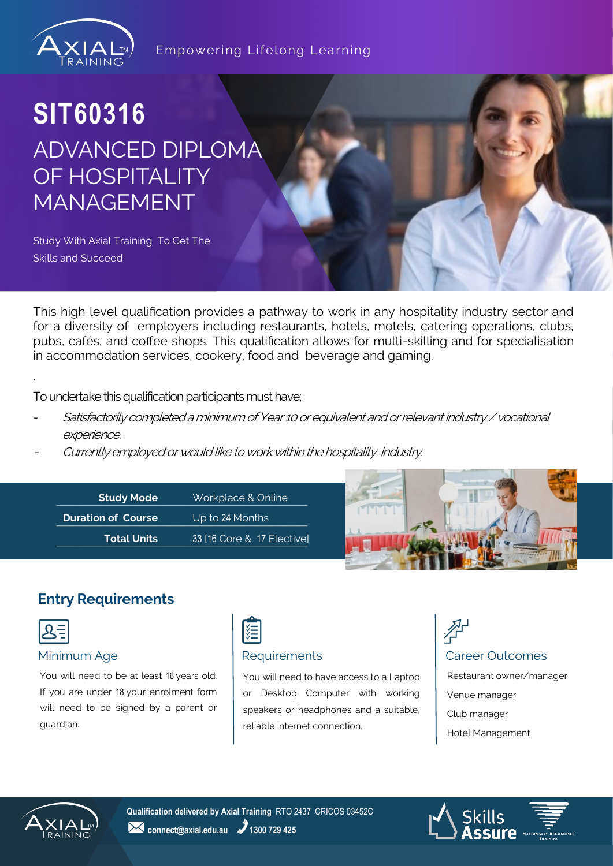

#### Empowering Lifelong Learning

## **SIT60316** ADVANCED DIPLOMA OF HOSPITALITY MANAGEMENT

Study With Axial Training To Get The Skills and Succeed

This high level qualification provides a pathway to work in any hospitality industry sector and for a diversity of employers including restaurants, hotels, motels, catering operations, clubs, pubs, cafés, and coffee shops. This qualification allows for multi-skilling and for specialisation in accommodation services, cookery, food and beverage and gaming.

To undertake this qualification participants must have;

- Satisfactorily completed a minimum of Year 10 or equivalent and or relevant industry / vocational experience.
- Currently employed or would like to work within the hospitality industry.



## **Entry Requirements**



.

You will need to be at least 16 years old. If you are under 18 your enrolment form will need to be signed by a parent or guardian.



You will need to have access to a Laptop or Desktop Computer with working speakers or headphones and a suitable, reliable internet connection.



Venue manager Club manager Hotel Management